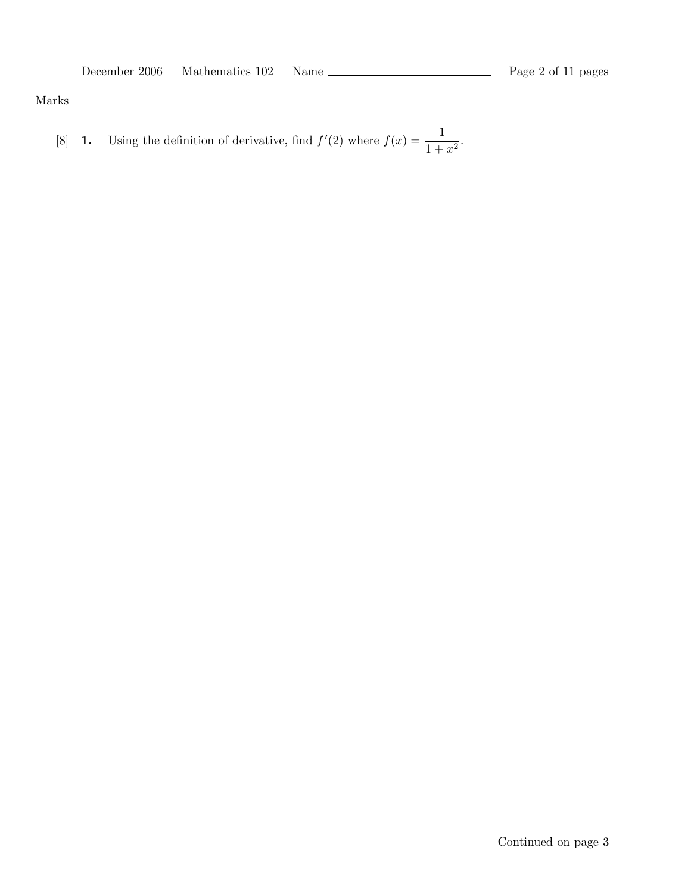Marks

[8] **1.** Using the definition of derivative, find 
$$
f'(2)
$$
 where  $f(x) = \frac{1}{1+x^2}$ .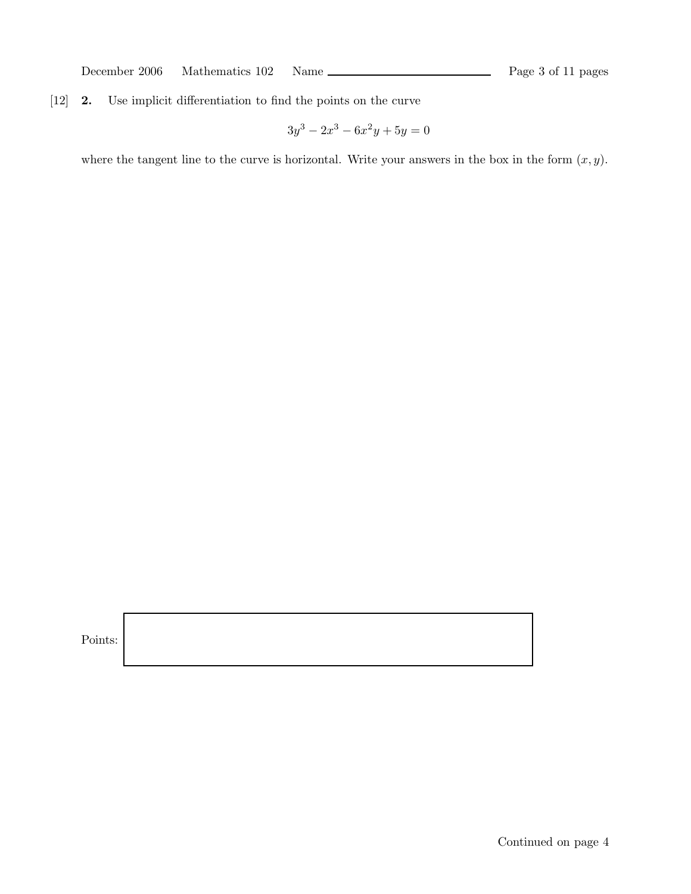December 2006 Mathematics 102 Name Page 3 of 11 pages

## [12] 2. Use implicit differentiation to find the points on the curve

$$
3y^3 - 2x^3 - 6x^2y + 5y = 0
$$

where the tangent line to the curve is horizontal. Write your answers in the box in the form  $(x, y)$ .

Points: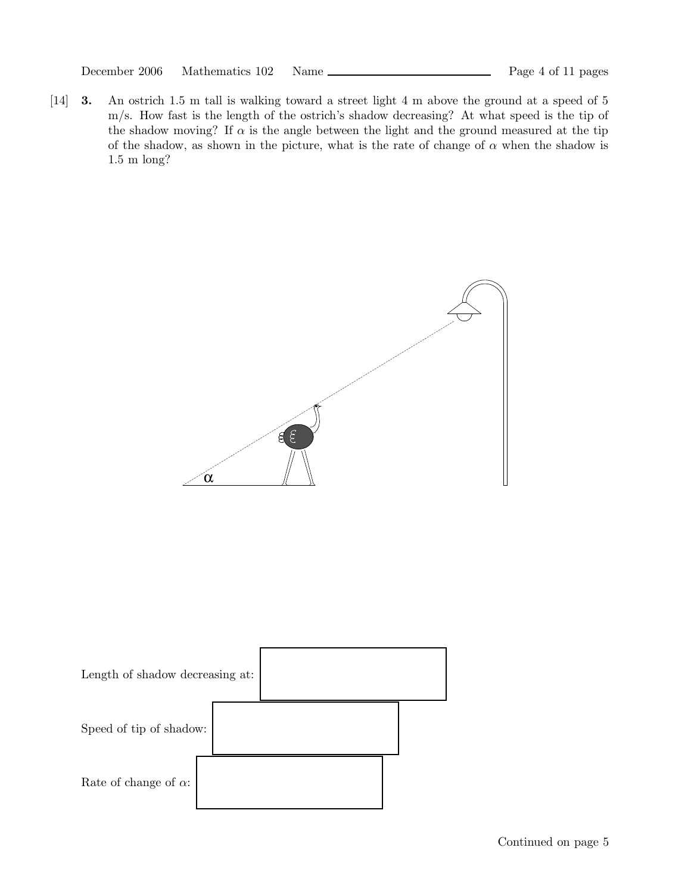[14] 3. An ostrich 1.5 m tall is walking toward a street light 4 m above the ground at a speed of 5 m/s. How fast is the length of the ostrich's shadow decreasing? At what speed is the tip of the shadow moving? If  $\alpha$  is the angle between the light and the ground measured at the tip of the shadow, as shown in the picture, what is the rate of change of  $\alpha$  when the shadow is 1.5 m long?



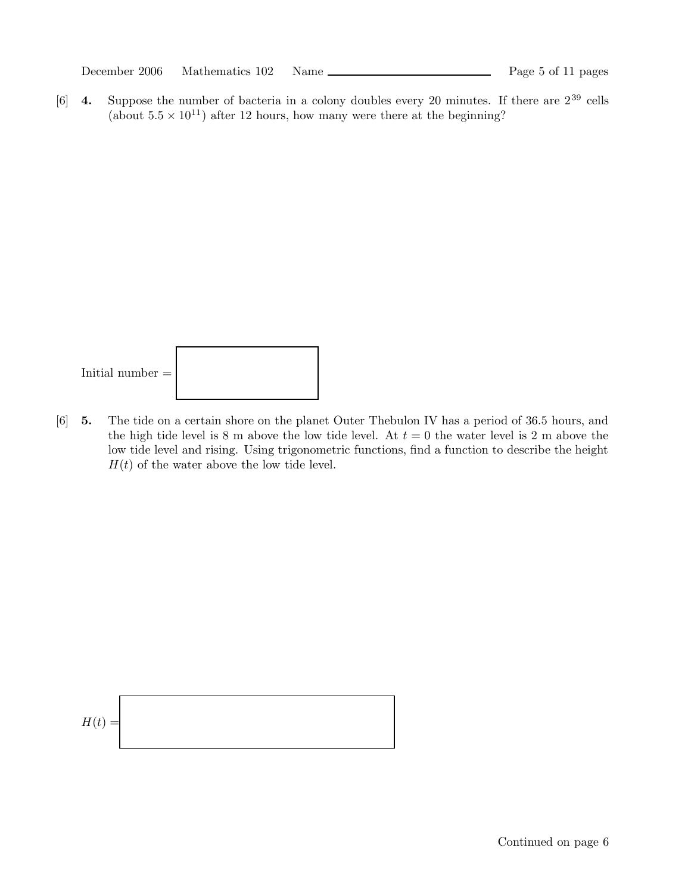December 2006 Mathematics 102 Name Page 5 of 11 pages

[6] **4.** Suppose the number of bacteria in a colony doubles every 20 minutes. If there are  $2^{39}$  cells (about  $5.5 \times 10^{11}$ ) after 12 hours, how many were there at the beginning?



[6] 5. The tide on a certain shore on the planet Outer Thebulon IV has a period of 36.5 hours, and the high tide level is 8 m above the low tide level. At  $t = 0$  the water level is 2 m above the low tide level and rising. Using trigonometric functions, find a function to describe the height  $H(t)$  of the water above the low tide level.

$$
H(t) =
$$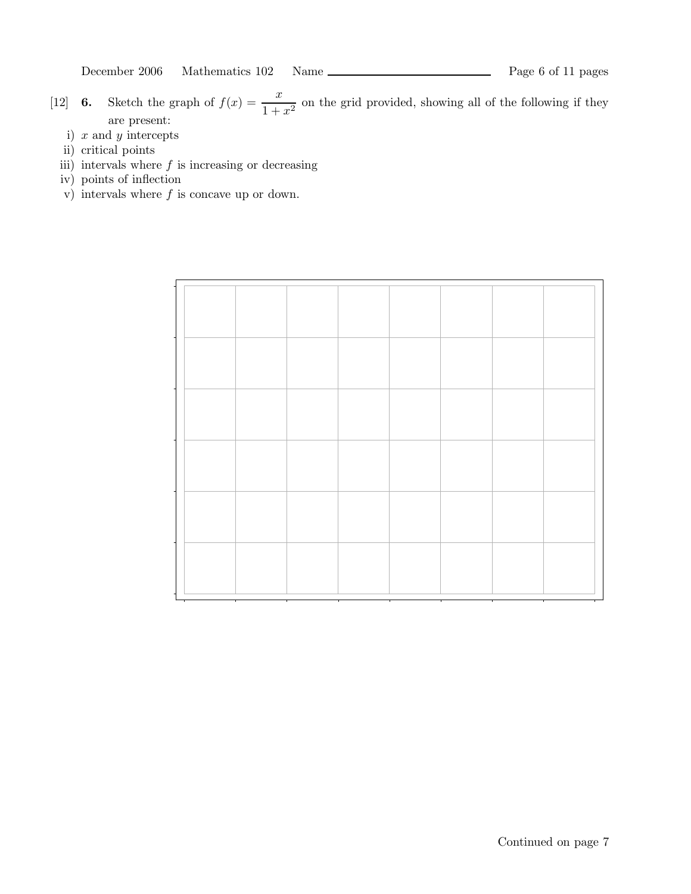December 2006 Mathematics 102 Name Page 6 of 11 pages

[12] **6.** Sketch the graph of  $f(x) = \frac{x}{1+x^2}$  $\frac{1}{1+x^2}$  on the grid provided, showing all of the following if they are present:

- i)  $x$  and  $y$  intercepts
- ii) critical points
- iii) intervals where  $f$  is increasing or decreasing
- iv) points of inflection
- v) intervals where  $f$  is concave up or down.

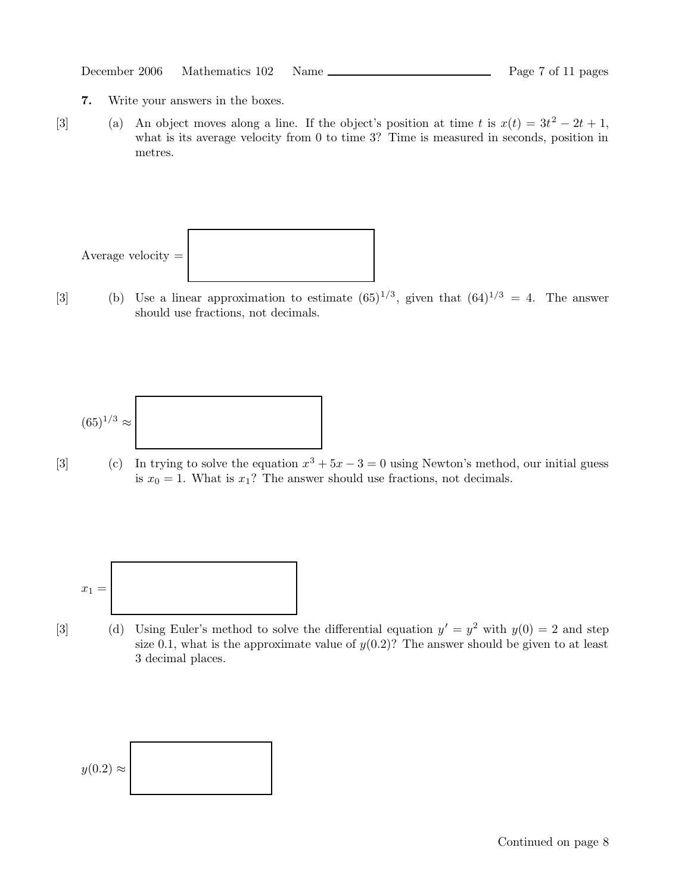| December 2006 | Mathematics 102 | Name |
|---------------|-----------------|------|
|               |                 |      |

- 7. Write your answers in the boxes.
- [3] (a) An object moves along a line. If the object's position at time t is  $x(t) = 3t^2 2t + 1$ , what is its average velocity from 0 to time 3? Time is measured in seconds, position in metres.



[3] (b) Use a linear approximation to estimate  $(65)^{1/3}$ , given that  $(64)^{1/3} = 4$ . The answer should use fractions, not decimals.

$$
(65)^{1/3} \approx
$$

[3] (c) In trying to solve the equation  $x^3 + 5x - 3 = 0$  using Newton's method, our initial guess is  $x_0 = 1$ . What is  $x_1$ ? The answer should use fractions, not decimals.

$$
x_1 = \boxed{\phantom{\Big|}}
$$

[3] (d) Using Euler's method to solve the differential equation  $y' = y^2$  with  $y(0) = 2$  and step size 0.1, what is the approximate value of  $y(0.2)$ ? The answer should be given to at least 3 decimal places.

$$
y(0.2) \approx
$$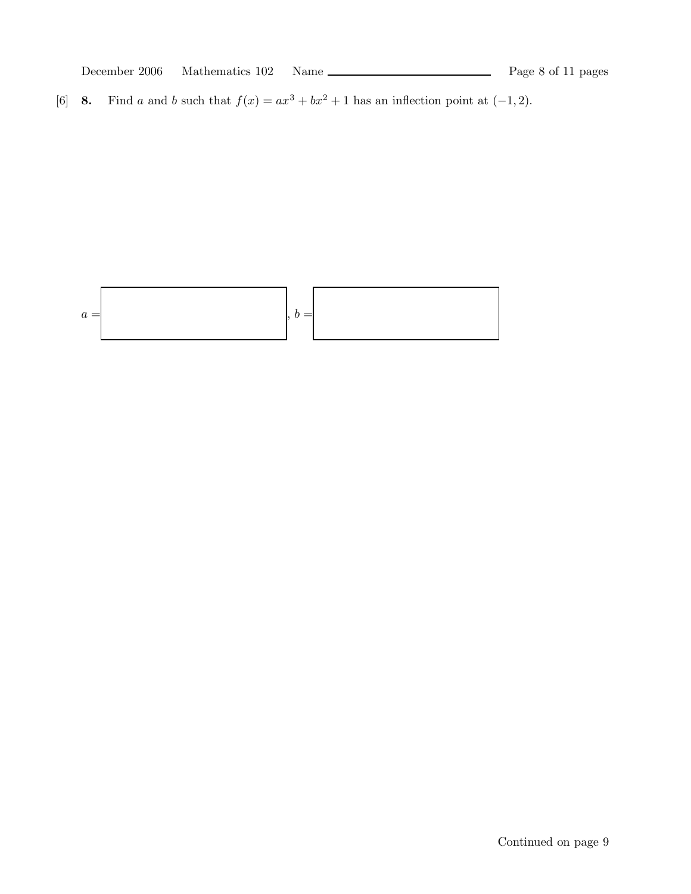[6] 8. Find a and b such that  $f(x) = ax^3 + bx^2 + 1$  has an inflection point at  $(-1, 2)$ .

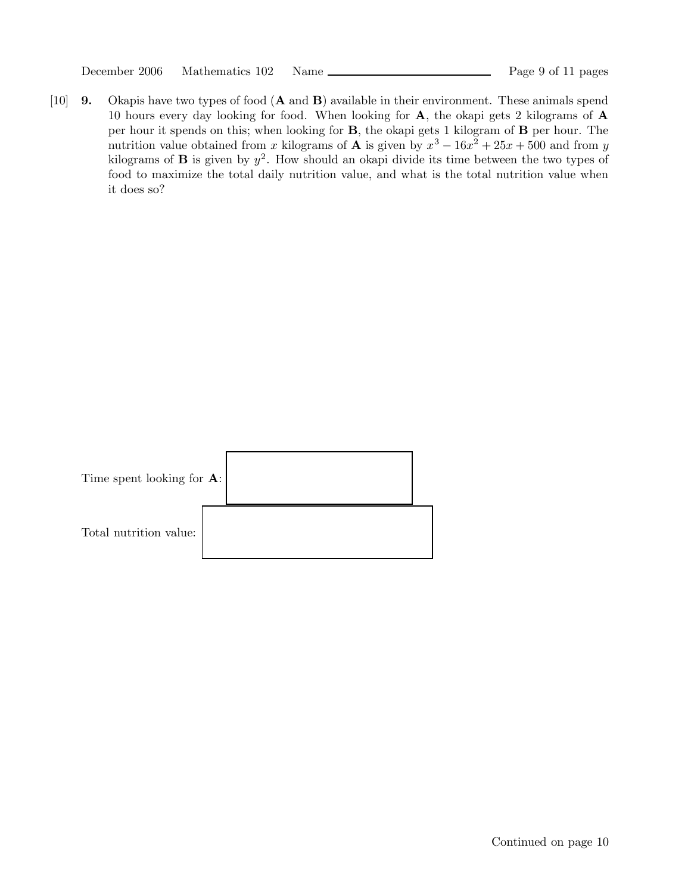|  | December 2006 |  | Mathematics 102 |  | Nam |
|--|---------------|--|-----------------|--|-----|
|--|---------------|--|-----------------|--|-----|

[10] 9. Okapis have two types of food (A and B) available in their environment. These animals spend 10 hours every day looking for food. When looking for A, the okapi gets 2 kilograms of A per hour it spends on this; when looking for B, the okapi gets 1 kilogram of B per hour. The nutrition value obtained from x kilograms of **A** is given by  $x^3 - 16x^2 + 25x + 500$  and from y kilograms of **B** is given by  $y^2$ . How should an okapi divide its time between the two types of food to maximize the total daily nutrition value, and what is the total nutrition value when it does so?

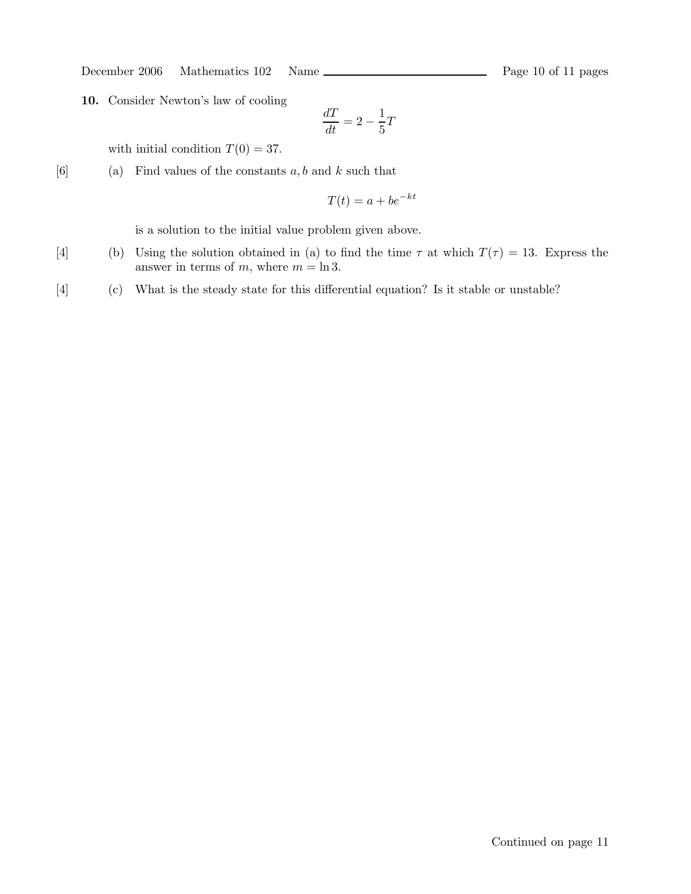December 2006 Mathematics 102 Name Rage 10 of 11 pages

10. Consider Newton's law of cooling

$$
\frac{dT}{dt} = 2 - \frac{1}{5}T
$$

with initial condition  $T(0) = 37$ .

[6] (a) Find values of the constants  $a, b$  and  $k$  such that

$$
T(t) = a + be^{-kt}
$$

is a solution to the initial value problem given above.

- [4] (b) Using the solution obtained in (a) to find the time  $\tau$  at which  $T(\tau) = 13$ . Express the answer in terms of m, where  $m = \ln 3$ .
- [4] (c) What is the steady state for this differential equation? Is it stable or unstable?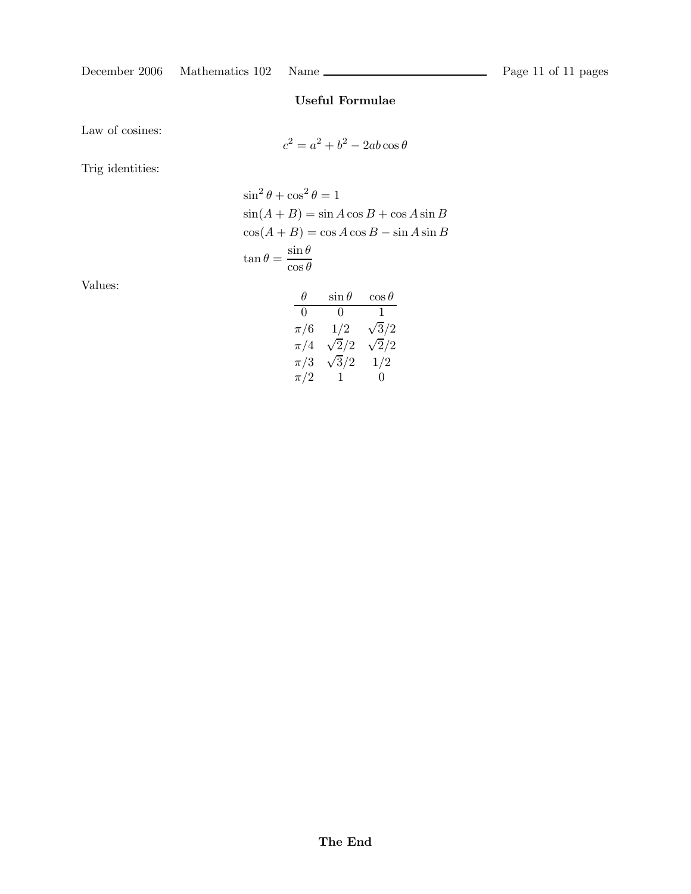# Useful Formulae

Law of cosines:

$$
c^2 = a^2 + b^2 - 2ab\cos\theta
$$

Trig identities:

$$
\sin^2 \theta + \cos^2 \theta = 1
$$
  
\n
$$
\sin(A + B) = \sin A \cos B + \cos A \sin B
$$
  
\n
$$
\cos(A + B) = \cos A \cos B - \sin A \sin B
$$
  
\n
$$
\tan \theta = \frac{\sin \theta}{\cos \theta}
$$

Values:

| θ       | $\sin\theta$ | $\cos\theta$ |
|---------|--------------|--------------|
| 0       | 0            | 1            |
| $\pi/6$ | 1/2          | $\sqrt{3}/2$ |
| $\pi/4$ | $\sqrt{2/2}$ | $\sqrt{2}/2$ |
| $\pi/3$ | $\sqrt{3}/2$ | 1/2          |
| $\pi/2$ | $\mathbf{1}$ | $\Omega$     |